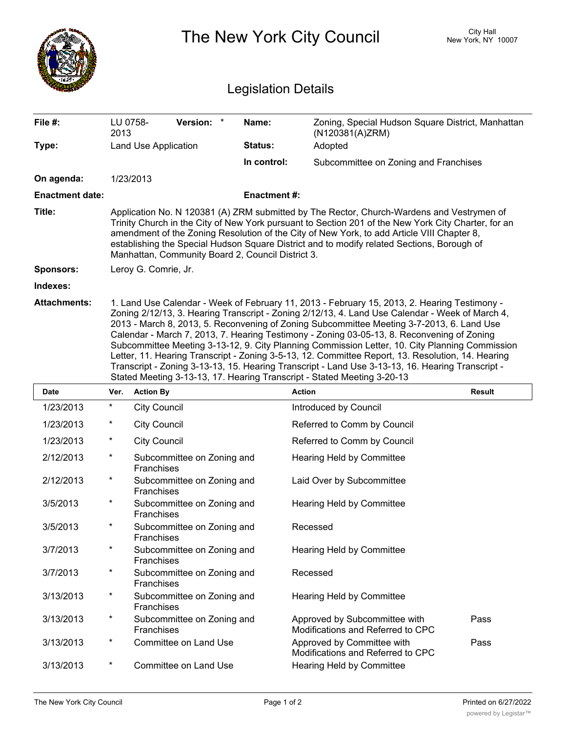|                        |                                                                                                                                                                                                                                                                                                                                                                                                                                                   |                                                 |                            |                            | The New York City Council                                                                                                                                                                                                                                                                                                                                                                                                                                                                                                                                                                                                                                                        |  | City Hall<br>New York, NY 10007 |  |
|------------------------|---------------------------------------------------------------------------------------------------------------------------------------------------------------------------------------------------------------------------------------------------------------------------------------------------------------------------------------------------------------------------------------------------------------------------------------------------|-------------------------------------------------|----------------------------|----------------------------|----------------------------------------------------------------------------------------------------------------------------------------------------------------------------------------------------------------------------------------------------------------------------------------------------------------------------------------------------------------------------------------------------------------------------------------------------------------------------------------------------------------------------------------------------------------------------------------------------------------------------------------------------------------------------------|--|---------------------------------|--|
|                        |                                                                                                                                                                                                                                                                                                                                                                                                                                                   |                                                 |                            | <b>Legislation Details</b> |                                                                                                                                                                                                                                                                                                                                                                                                                                                                                                                                                                                                                                                                                  |  |                                 |  |
| File #:                | LU 0758-<br>2013                                                                                                                                                                                                                                                                                                                                                                                                                                  |                                                 | Version: *                 | Name:                      | Zoning, Special Hudson Square District, Manhattan<br>(N120381(A)ZRM)                                                                                                                                                                                                                                                                                                                                                                                                                                                                                                                                                                                                             |  |                                 |  |
| Type:                  |                                                                                                                                                                                                                                                                                                                                                                                                                                                   | Land Use Application                            |                            | Status:                    | Adopted                                                                                                                                                                                                                                                                                                                                                                                                                                                                                                                                                                                                                                                                          |  |                                 |  |
|                        |                                                                                                                                                                                                                                                                                                                                                                                                                                                   |                                                 |                            | In control:                | Subcommittee on Zoning and Franchises                                                                                                                                                                                                                                                                                                                                                                                                                                                                                                                                                                                                                                            |  |                                 |  |
| On agenda:             |                                                                                                                                                                                                                                                                                                                                                                                                                                                   | 1/23/2013                                       |                            |                            |                                                                                                                                                                                                                                                                                                                                                                                                                                                                                                                                                                                                                                                                                  |  |                                 |  |
| <b>Enactment date:</b> |                                                                                                                                                                                                                                                                                                                                                                                                                                                   |                                                 |                            | <b>Enactment#:</b>         |                                                                                                                                                                                                                                                                                                                                                                                                                                                                                                                                                                                                                                                                                  |  |                                 |  |
| Title:                 | Application No. N 120381 (A) ZRM submitted by The Rector, Church-Wardens and Vestrymen of<br>Trinity Church in the City of New York pursuant to Section 201 of the New York City Charter, for an<br>amendment of the Zoning Resolution of the City of New York, to add Article VIII Chapter 8,<br>establishing the Special Hudson Square District and to modify related Sections, Borough of<br>Manhattan, Community Board 2, Council District 3. |                                                 |                            |                            |                                                                                                                                                                                                                                                                                                                                                                                                                                                                                                                                                                                                                                                                                  |  |                                 |  |
| <b>Sponsors:</b>       |                                                                                                                                                                                                                                                                                                                                                                                                                                                   | Leroy G. Comrie, Jr.                            |                            |                            |                                                                                                                                                                                                                                                                                                                                                                                                                                                                                                                                                                                                                                                                                  |  |                                 |  |
| Indexes:               |                                                                                                                                                                                                                                                                                                                                                                                                                                                   |                                                 |                            |                            |                                                                                                                                                                                                                                                                                                                                                                                                                                                                                                                                                                                                                                                                                  |  |                                 |  |
|                        |                                                                                                                                                                                                                                                                                                                                                                                                                                                   |                                                 |                            |                            | Zoning 2/12/13, 3. Hearing Transcript - Zoning 2/12/13, 4. Land Use Calendar - Week of March 4,<br>2013 - March 8, 2013, 5. Reconvening of Zoning Subcommittee Meeting 3-7-2013, 6. Land Use<br>Calendar - March 7, 2013, 7. Hearing Testimony - Zoning 03-05-13, 8. Reconvening of Zoning<br>Subcommittee Meeting 3-13-12, 9. City Planning Commission Letter, 10. City Planning Commission<br>Letter, 11. Hearing Transcript - Zoning 3-5-13, 12. Committee Report, 13. Resolution, 14. Hearing<br>Transcript - Zoning 3-13-13, 15. Hearing Transcript - Land Use 3-13-13, 16. Hearing Transcript -<br>Stated Meeting 3-13-13, 17. Hearing Transcript - Stated Meeting 3-20-13 |  |                                 |  |
| <b>Date</b>            | Ver.                                                                                                                                                                                                                                                                                                                                                                                                                                              | <b>Action By</b>                                |                            |                            | <b>Action</b>                                                                                                                                                                                                                                                                                                                                                                                                                                                                                                                                                                                                                                                                    |  | <b>Result</b>                   |  |
| 1/23/2013              | $\ast$                                                                                                                                                                                                                                                                                                                                                                                                                                            | <b>City Council</b>                             |                            |                            | Introduced by Council                                                                                                                                                                                                                                                                                                                                                                                                                                                                                                                                                                                                                                                            |  |                                 |  |
| 1/23/2013              |                                                                                                                                                                                                                                                                                                                                                                                                                                                   | <b>City Council</b>                             |                            |                            | Referred to Comm by Council                                                                                                                                                                                                                                                                                                                                                                                                                                                                                                                                                                                                                                                      |  |                                 |  |
| 1/23/2013              | *                                                                                                                                                                                                                                                                                                                                                                                                                                                 | <b>City Council</b>                             |                            |                            | Referred to Comm by Council                                                                                                                                                                                                                                                                                                                                                                                                                                                                                                                                                                                                                                                      |  |                                 |  |
| 2/12/2013              | $^\ast$                                                                                                                                                                                                                                                                                                                                                                                                                                           | Subcommittee on Zoning and<br><b>Franchises</b> |                            |                            | Hearing Held by Committee                                                                                                                                                                                                                                                                                                                                                                                                                                                                                                                                                                                                                                                        |  |                                 |  |
| 2/12/2013              | $\star$                                                                                                                                                                                                                                                                                                                                                                                                                                           | Franchises                                      | Subcommittee on Zoning and |                            | Laid Over by Subcommittee                                                                                                                                                                                                                                                                                                                                                                                                                                                                                                                                                                                                                                                        |  |                                 |  |
| 3/5/2013               | $\star$                                                                                                                                                                                                                                                                                                                                                                                                                                           | Franchises                                      | Subcommittee on Zoning and |                            | Hearing Held by Committee                                                                                                                                                                                                                                                                                                                                                                                                                                                                                                                                                                                                                                                        |  |                                 |  |
| 3/5/2013               | $\star$                                                                                                                                                                                                                                                                                                                                                                                                                                           | Franchises                                      | Subcommittee on Zoning and |                            | Recessed                                                                                                                                                                                                                                                                                                                                                                                                                                                                                                                                                                                                                                                                         |  |                                 |  |
| 3/7/2013               | $\ast$                                                                                                                                                                                                                                                                                                                                                                                                                                            | Franchises                                      | Subcommittee on Zoning and |                            | <b>Hearing Held by Committee</b>                                                                                                                                                                                                                                                                                                                                                                                                                                                                                                                                                                                                                                                 |  |                                 |  |
| 3/7/2013               | $\ast$                                                                                                                                                                                                                                                                                                                                                                                                                                            | Franchises                                      | Subcommittee on Zoning and |                            | Recessed                                                                                                                                                                                                                                                                                                                                                                                                                                                                                                                                                                                                                                                                         |  |                                 |  |
| 3/13/2013              | $\star$                                                                                                                                                                                                                                                                                                                                                                                                                                           | Franchises                                      | Subcommittee on Zoning and |                            | Hearing Held by Committee                                                                                                                                                                                                                                                                                                                                                                                                                                                                                                                                                                                                                                                        |  |                                 |  |
| 3/13/2013              | $\star$                                                                                                                                                                                                                                                                                                                                                                                                                                           | Franchises                                      | Subcommittee on Zoning and |                            | Approved by Subcommittee with<br>Modifications and Referred to CPC                                                                                                                                                                                                                                                                                                                                                                                                                                                                                                                                                                                                               |  | Pass                            |  |
| 3/13/2013              | $\ast$                                                                                                                                                                                                                                                                                                                                                                                                                                            |                                                 | Committee on Land Use      |                            | Approved by Committee with<br>Modifications and Referred to CPC                                                                                                                                                                                                                                                                                                                                                                                                                                                                                                                                                                                                                  |  | Pass                            |  |
| 3/13/2013              | $\ast$                                                                                                                                                                                                                                                                                                                                                                                                                                            |                                                 | Committee on Land Use      |                            | Hearing Held by Committee                                                                                                                                                                                                                                                                                                                                                                                                                                                                                                                                                                                                                                                        |  |                                 |  |